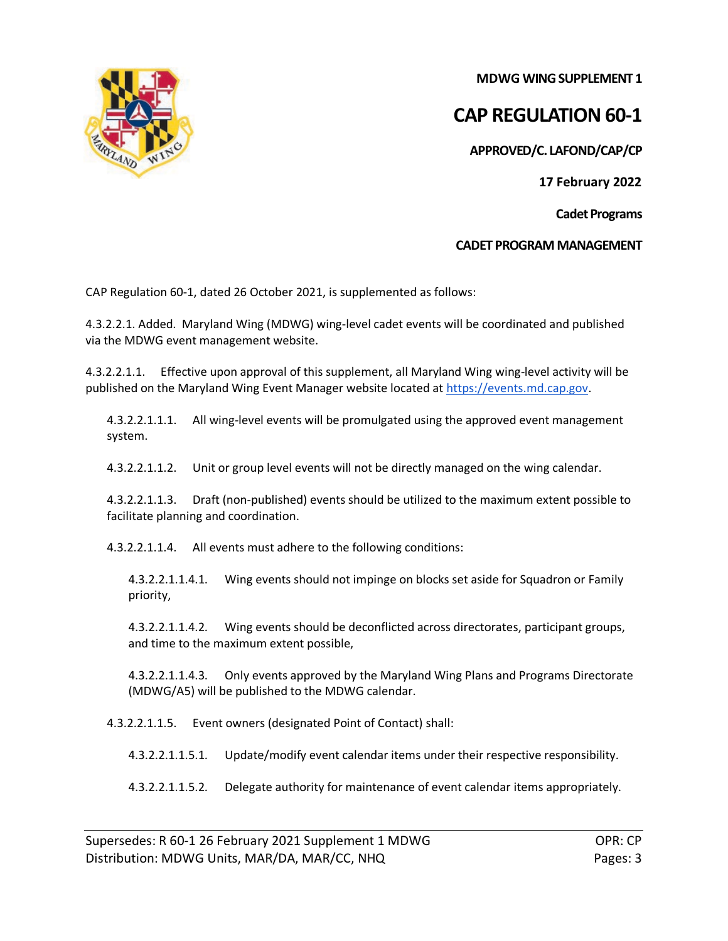

**MDWG WING SUPPLEMENT 1**

## **CAP REGULATION 60-1**

**APPROVED/C. LAFOND/CAP/CP**

**17 February 2022**

**Cadet Programs**

**CADET PROGRAM MANAGEMENT**

CAP Regulation 60-1, dated 26 October 2021, is supplemented as follows:

4.3.2.2.1. Added. Maryland Wing (MDWG) wing-level cadet events will be coordinated and published via the MDWG event management website.

4.3.2.2.1.1. Effective upon approval of this supplement, all Maryland Wing wing-level activity will be published on the Maryland Wing Event Manager website located at [https://events.md.cap.gov.](https://events.md.cap.gov/)

4.3.2.2.1.1.1. All wing-level events will be promulgated using the approved event management system.

4.3.2.2.1.1.2. Unit or group level events will not be directly managed on the wing calendar.

4.3.2.2.1.1.3. Draft (non-published) events should be utilized to the maximum extent possible to facilitate planning and coordination.

4.3.2.2.1.1.4. All events must adhere to the following conditions:

4.3.2.2.1.1.4.1. Wing events should not impinge on blocks set aside for Squadron or Family priority,

4.3.2.2.1.1.4.2. Wing events should be deconflicted across directorates, participant groups, and time to the maximum extent possible,

4.3.2.2.1.1.4.3. Only events approved by the Maryland Wing Plans and Programs Directorate (MDWG/A5) will be published to the MDWG calendar.

4.3.2.2.1.1.5. Event owners (designated Point of Contact) shall:

4.3.2.2.1.1.5.1. Update/modify event calendar items under their respective responsibility.

4.3.2.2.1.1.5.2. Delegate authority for maintenance of event calendar items appropriately.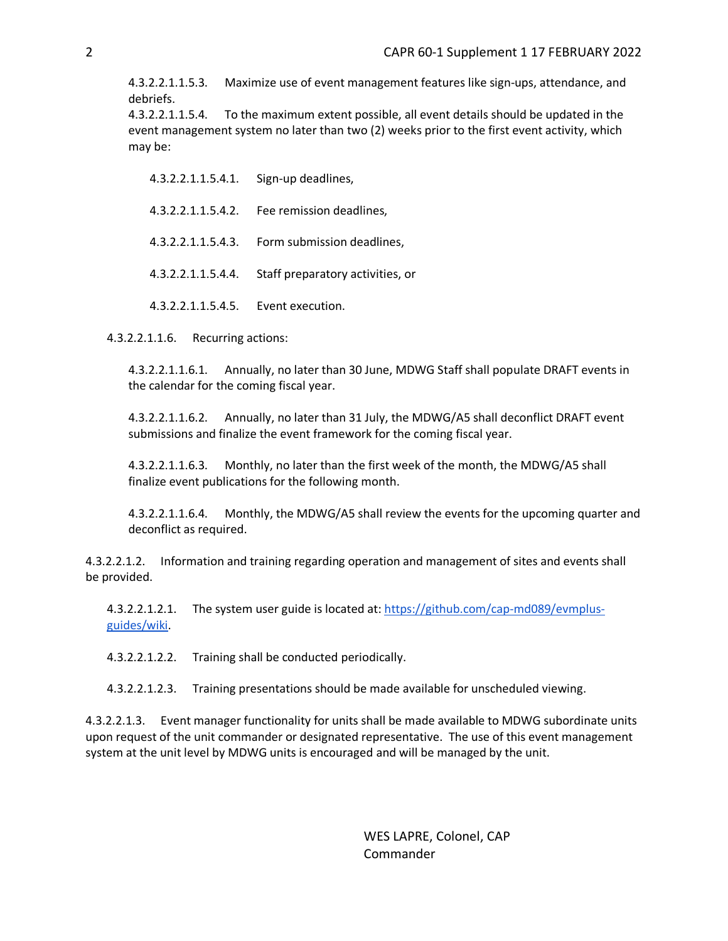4.3.2.2.1.1.5.3. Maximize use of event management features like sign-ups, attendance, and debriefs.

4.3.2.2.1.1.5.4. To the maximum extent possible, all event details should be updated in the event management system no later than two (2) weeks prior to the first event activity, which may be:

4.3.2.2.1.1.5.4.1. Sign-up deadlines, 4.3.2.2.1.1.5.4.2. Fee remission deadlines, 4.3.2.2.1.1.5.4.3. Form submission deadlines, 4.3.2.2.1.1.5.4.4. Staff preparatory activities, or 4.3.2.2.1.1.5.4.5. Event execution.

4.3.2.2.1.1.6. Recurring actions:

4.3.2.2.1.1.6.1. Annually, no later than 30 June, MDWG Staff shall populate DRAFT events in the calendar for the coming fiscal year.

4.3.2.2.1.1.6.2. Annually, no later than 31 July, the MDWG/A5 shall deconflict DRAFT event submissions and finalize the event framework for the coming fiscal year.

4.3.2.2.1.1.6.3. Monthly, no later than the first week of the month, the MDWG/A5 shall finalize event publications for the following month.

4.3.2.2.1.1.6.4. Monthly, the MDWG/A5 shall review the events for the upcoming quarter and deconflict as required.

4.3.2.2.1.2. Information and training regarding operation and management of sites and events shall be provided.

4.3.2.2.1.2.1. The system user guide is located at: [https://github.com/cap-md089/evmplus](https://github.com/cap-md089/evmplus-guides/wiki)[guides/wiki.](https://github.com/cap-md089/evmplus-guides/wiki)

4.3.2.2.1.2.2. Training shall be conducted periodically.

4.3.2.2.1.2.3. Training presentations should be made available for unscheduled viewing.

4.3.2.2.1.3. Event manager functionality for units shall be made available to MDWG subordinate units upon request of the unit commander or designated representative. The use of this event management system at the unit level by MDWG units is encouraged and will be managed by the unit.

> WES LAPRE, Colonel, CAP Commander